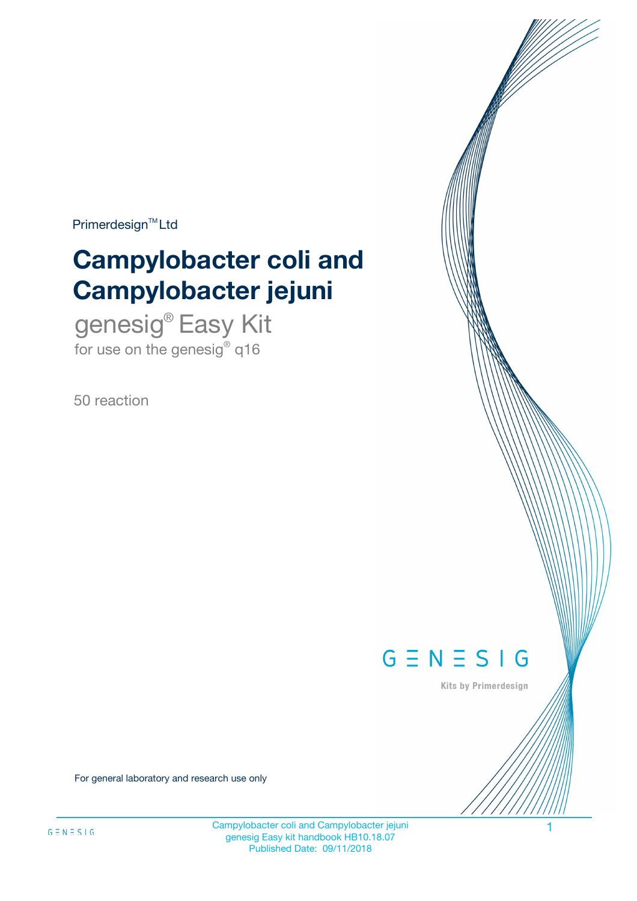$Primerdesign^{\text{TM}}Ltd$ 

# **Campylobacter coli and Campylobacter jejuni**

genesig® Easy Kit for use on the genesig® q16

50 reaction



Kits by Primerdesign

For general laboratory and research use only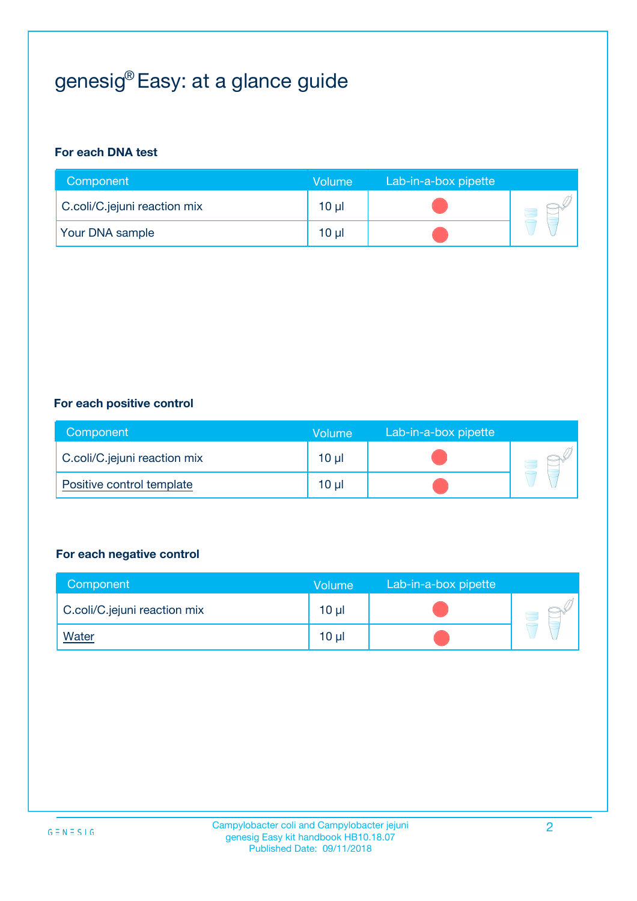# genesig® Easy: at a glance guide

#### **For each DNA test**

| Component                    | <b>Volume</b> | Lab-in-a-box pipette |  |
|------------------------------|---------------|----------------------|--|
| C.coli/C.jejuni reaction mix | $10 \mu$      |                      |  |
| <b>Your DNA sample</b>       | 10 µl         |                      |  |

#### **For each positive control**

| Component                    | Volume          | Lab-in-a-box pipette |  |
|------------------------------|-----------------|----------------------|--|
| C.coli/C.jejuni reaction mix | 10 <sub>µ</sub> |                      |  |
| Positive control template    | 10 <sub>µ</sub> |                      |  |

#### **For each negative control**

| Component                    | <b>Volume</b>   | Lab-in-a-box pipette |  |
|------------------------------|-----------------|----------------------|--|
| C.coli/C.jejuni reaction mix | 10 <sub>µ</sub> |                      |  |
| <u>Water</u>                 | 10 <sub>µ</sub> |                      |  |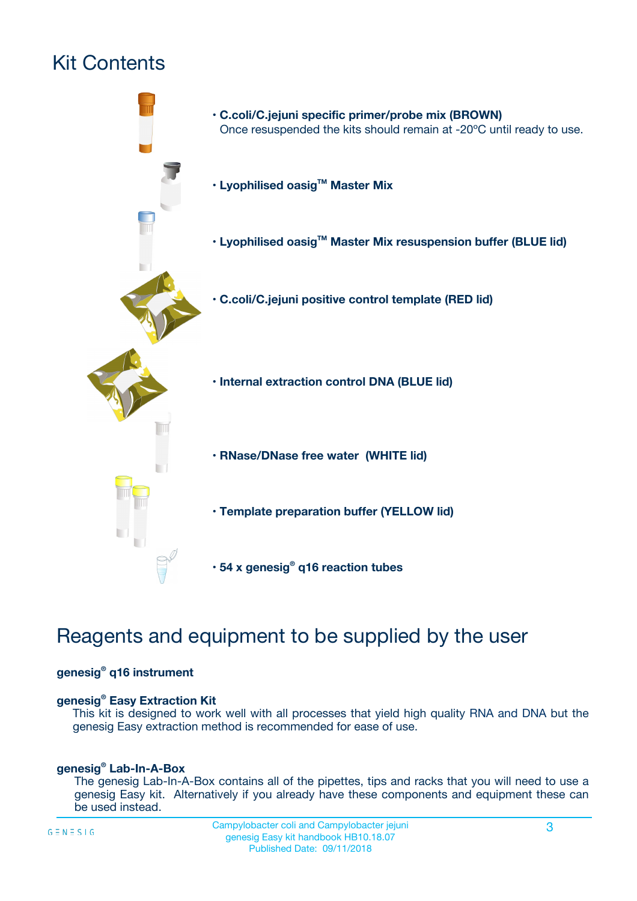# Kit Contents



## Reagents and equipment to be supplied by the user

#### **genesig® q16 instrument**

#### **genesig® Easy Extraction Kit**

This kit is designed to work well with all processes that yield high quality RNA and DNA but the genesig Easy extraction method is recommended for ease of use.

#### **genesig® Lab-In-A-Box**

The genesig Lab-In-A-Box contains all of the pipettes, tips and racks that you will need to use a genesig Easy kit. Alternatively if you already have these components and equipment these can be used instead.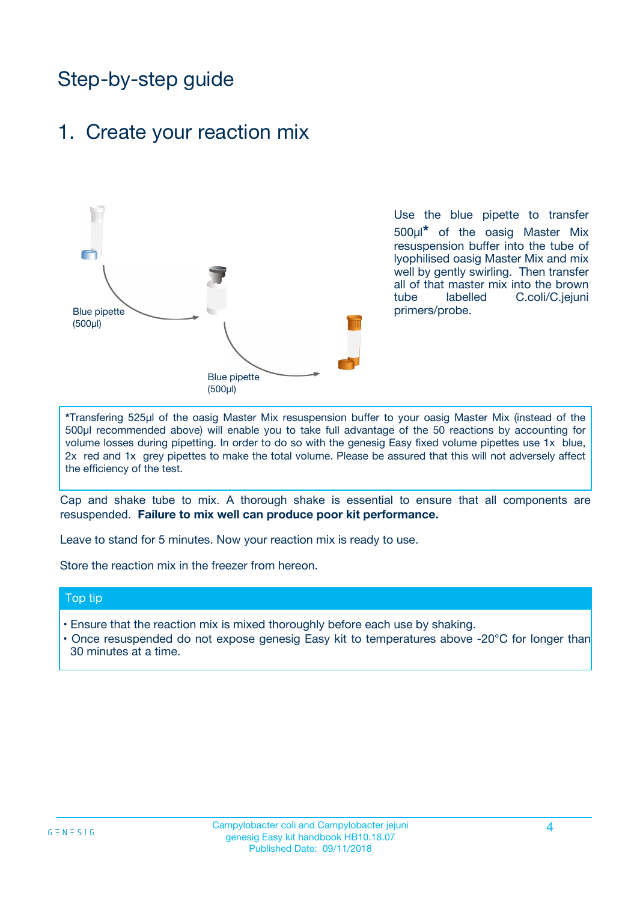## Step-by-step guide

### 1. Create your reaction mix



Use the blue pipette to transfer 500µl**\*** of the oasig Master Mix resuspension buffer into the tube of lyophilised oasig Master Mix and mix well by gently swirling. Then transfer all of that master mix into the brown tube labelled C.coli/C.jejuni primers/probe.

**\***Transfering 525µl of the oasig Master Mix resuspension buffer to your oasig Master Mix (instead of the 500µl recommended above) will enable you to take full advantage of the 50 reactions by accounting for volume losses during pipetting. In order to do so with the genesig Easy fixed volume pipettes use 1x blue, 2x red and 1x grey pipettes to make the total volume. Please be assured that this will not adversely affect the efficiency of the test.

Cap and shake tube to mix. A thorough shake is essential to ensure that all components are resuspended. **Failure to mix well can produce poor kit performance.**

Leave to stand for 5 minutes. Now your reaction mix is ready to use.

Store the reaction mix in the freezer from hereon.

#### Top tip

- Ensure that the reaction mix is mixed thoroughly before each use by shaking.
- Once resuspended do not expose genesig Easy kit to temperatures above -20°C for longer than 30 minutes at a time.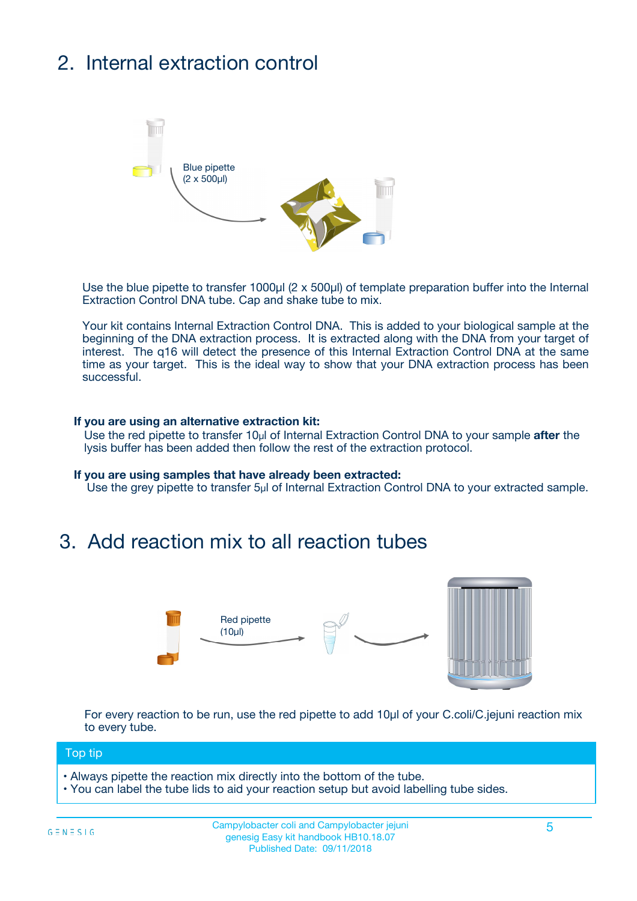# 2. Internal extraction control



Use the blue pipette to transfer 1000µl (2 x 500µl) of template preparation buffer into the Internal Extraction Control DNA tube. Cap and shake tube to mix.

Your kit contains Internal Extraction Control DNA. This is added to your biological sample at the beginning of the DNA extraction process. It is extracted along with the DNA from your target of interest. The q16 will detect the presence of this Internal Extraction Control DNA at the same time as your target. This is the ideal way to show that your DNA extraction process has been successful.

#### **If you are using an alternative extraction kit:**

Use the red pipette to transfer 10µl of Internal Extraction Control DNA to your sample **after** the lysis buffer has been added then follow the rest of the extraction protocol.

#### **If you are using samples that have already been extracted:**

Use the grey pipette to transfer 5µl of Internal Extraction Control DNA to your extracted sample.

## 3. Add reaction mix to all reaction tubes



For every reaction to be run, use the red pipette to add 10µl of your C.coli/C.jejuni reaction mix to every tube.

#### Top tip

**•** Always pipette the reaction mix directly into the bottom of the tube.

• You can label the tube lids to aid your reaction setup but avoid labelling tube sides.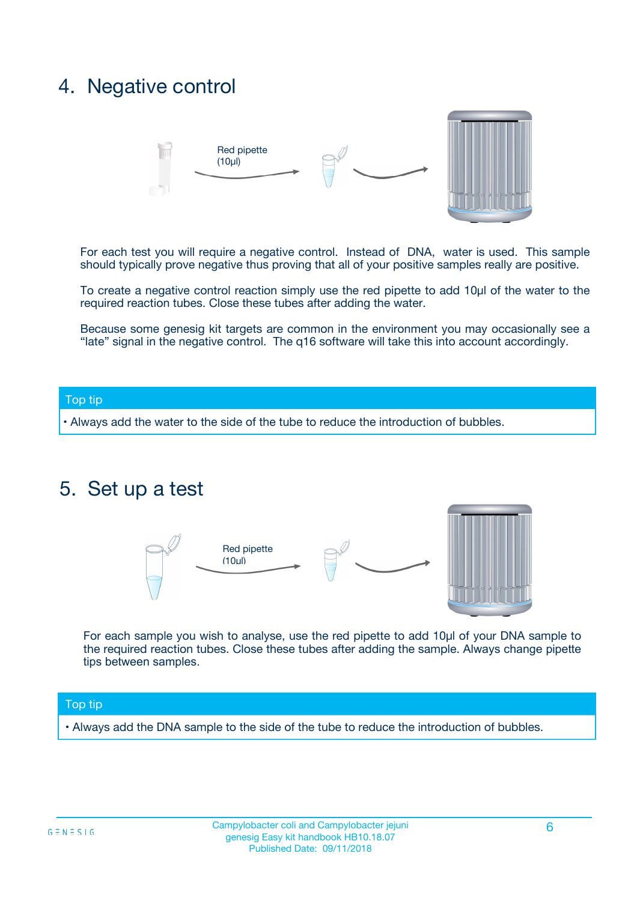## 4. Negative control



For each test you will require a negative control. Instead of DNA, water is used. This sample should typically prove negative thus proving that all of your positive samples really are positive.

To create a negative control reaction simply use the red pipette to add 10µl of the water to the required reaction tubes. Close these tubes after adding the water.

Because some genesig kit targets are common in the environment you may occasionally see a "late" signal in the negative control. The q16 software will take this into account accordingly.

#### Top tip

**•** Always add the water to the side of the tube to reduce the introduction of bubbles.

### 5. Set up a test



For each sample you wish to analyse, use the red pipette to add 10µl of your DNA sample to the required reaction tubes. Close these tubes after adding the sample. Always change pipette tips between samples.

#### Top tip

**•** Always add the DNA sample to the side of the tube to reduce the introduction of bubbles.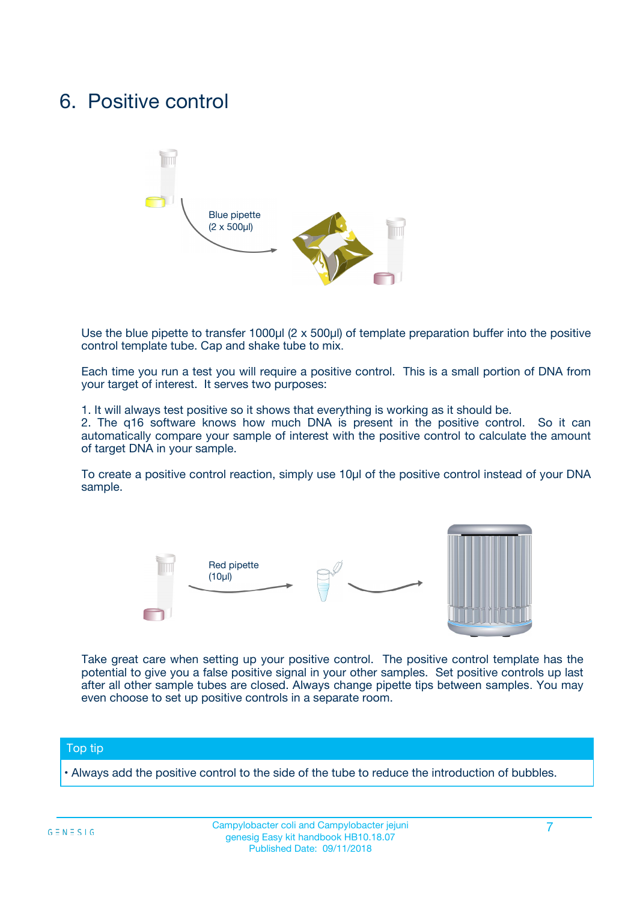## 6. Positive control



Use the blue pipette to transfer 1000µl (2 x 500µl) of template preparation buffer into the positive control template tube. Cap and shake tube to mix.

Each time you run a test you will require a positive control. This is a small portion of DNA from your target of interest. It serves two purposes:

1. It will always test positive so it shows that everything is working as it should be.

2. The q16 software knows how much DNA is present in the positive control. So it can automatically compare your sample of interest with the positive control to calculate the amount of target DNA in your sample.

To create a positive control reaction, simply use 10µl of the positive control instead of your DNA sample.



Take great care when setting up your positive control. The positive control template has the potential to give you a false positive signal in your other samples. Set positive controls up last after all other sample tubes are closed. Always change pipette tips between samples. You may even choose to set up positive controls in a separate room.

#### Top tip

**•** Always add the positive control to the side of the tube to reduce the introduction of bubbles.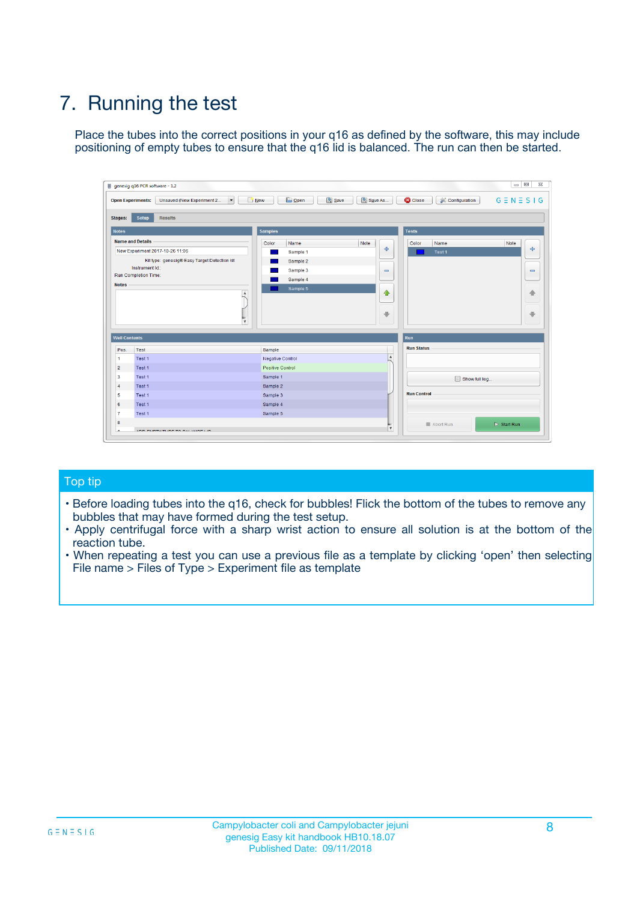# 7. Running the test

Place the tubes into the correct positions in your q16 as defined by the software, this may include positioning of empty tubes to ensure that the q16 lid is balanced. The run can then be started.

| genesig q16 PCR software - 1.2                                               |                                     | $\Box$                                                                                  |
|------------------------------------------------------------------------------|-------------------------------------|-----------------------------------------------------------------------------------------|
| Unsaved (New Experiment 2<br>$\vert \cdot \vert$<br><b>Open Experiments:</b> | <b>D</b> Open<br>Save<br>$\Box$ New | Save As<br><b>C</b> Close<br>$G \equiv N \equiv S \mid G$<br><b>&amp; Configuration</b> |
| Setup<br><b>Results</b><br><b>Stages:</b>                                    |                                     |                                                                                         |
| <b>Notes</b>                                                                 | Samples                             | <b>Tests</b>                                                                            |
| <b>Name and Details</b>                                                      | Color<br>Name                       | Note<br>Color<br>Note<br>Name                                                           |
| New Experiment 2017-10-26 11:06                                              | Sample 1                            | 条<br>علي<br>Test 1                                                                      |
| Kit type: genesig® Easy Target Detection kit                                 | Sample 2                            |                                                                                         |
| Instrument Id.:                                                              | Sample 3                            | $\qquad \qquad \blacksquare$<br>$\qquad \qquad \blacksquare$                            |
| Run Completion Time:                                                         | Sample 4                            |                                                                                         |
| <b>Notes</b>                                                                 | Sample 5<br>A<br>v                  | $\triangle$<br>4<br>$\oplus$<br>₩                                                       |
| <b>Well Contents</b>                                                         |                                     | <b>Run</b>                                                                              |
| Pos.<br>Test                                                                 | Sample                              | <b>Run Status</b>                                                                       |
| Test 1<br>-1                                                                 | <b>Negative Control</b>             | $\blacktriangle$                                                                        |
| $\overline{2}$<br>Test 1                                                     | <b>Positive Control</b>             |                                                                                         |
| $\overline{\mathbf{3}}$<br>Test 1                                            | Sample 1                            | Show full log                                                                           |
| Test 1<br>$\overline{4}$                                                     | Sample 2                            |                                                                                         |
| 5<br>Test 1                                                                  | Sample 3                            | <b>Run Control</b>                                                                      |
| 6<br>Test 1                                                                  | Sample 4                            |                                                                                         |
| $\overline{7}$<br>Test 1                                                     | Sample 5                            |                                                                                         |
| 8                                                                            |                                     | $\triangleright$ Start Run<br>Abort Run                                                 |
| <b>JOD FURTY TUDE TO BUILDED IN</b>                                          |                                     | $\overline{\mathbf{v}}$                                                                 |

#### Top tip

- Before loading tubes into the q16, check for bubbles! Flick the bottom of the tubes to remove any bubbles that may have formed during the test setup.
- Apply centrifugal force with a sharp wrist action to ensure all solution is at the bottom of the reaction tube.
- When repeating a test you can use a previous file as a template by clicking 'open' then selecting File name > Files of Type > Experiment file as template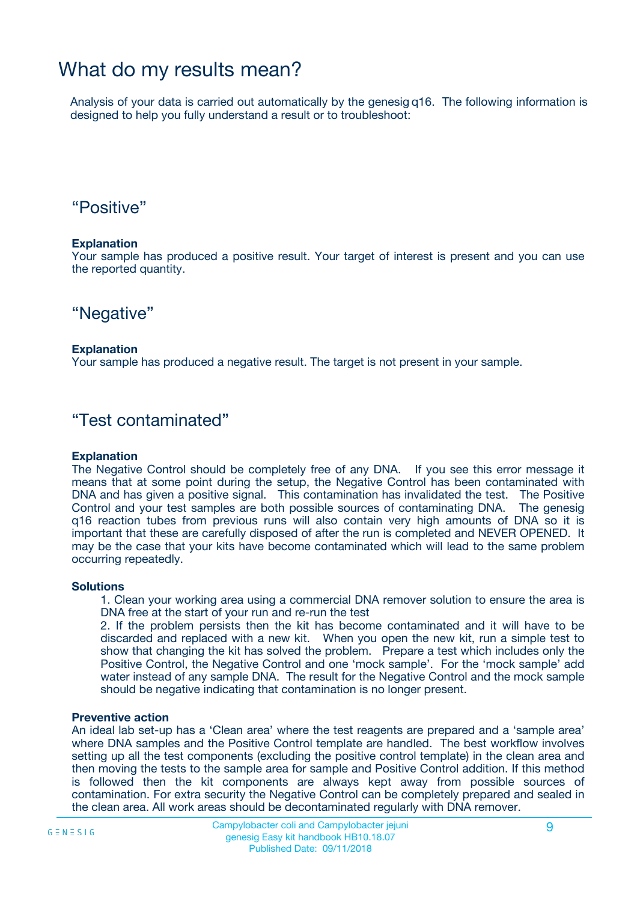## What do my results mean?

Analysis of your data is carried out automatically by the genesig q16. The following information is designed to help you fully understand a result or to troubleshoot:

### "Positive"

#### **Explanation**

Your sample has produced a positive result. Your target of interest is present and you can use the reported quantity.

"Negative"

#### **Explanation**

Your sample has produced a negative result. The target is not present in your sample.

### "Test contaminated"

#### **Explanation**

The Negative Control should be completely free of any DNA. If you see this error message it means that at some point during the setup, the Negative Control has been contaminated with DNA and has given a positive signal. This contamination has invalidated the test. The Positive Control and your test samples are both possible sources of contaminating DNA. The genesig q16 reaction tubes from previous runs will also contain very high amounts of DNA so it is important that these are carefully disposed of after the run is completed and NEVER OPENED. It may be the case that your kits have become contaminated which will lead to the same problem occurring repeatedly.

#### **Solutions**

1. Clean your working area using a commercial DNA remover solution to ensure the area is DNA free at the start of your run and re-run the test

2. If the problem persists then the kit has become contaminated and it will have to be discarded and replaced with a new kit. When you open the new kit, run a simple test to show that changing the kit has solved the problem. Prepare a test which includes only the Positive Control, the Negative Control and one 'mock sample'. For the 'mock sample' add water instead of any sample DNA. The result for the Negative Control and the mock sample should be negative indicating that contamination is no longer present.

#### **Preventive action**

An ideal lab set-up has a 'Clean area' where the test reagents are prepared and a 'sample area' where DNA samples and the Positive Control template are handled. The best workflow involves setting up all the test components (excluding the positive control template) in the clean area and then moving the tests to the sample area for sample and Positive Control addition. If this method is followed then the kit components are always kept away from possible sources of contamination. For extra security the Negative Control can be completely prepared and sealed in the clean area. All work areas should be decontaminated regularly with DNA remover.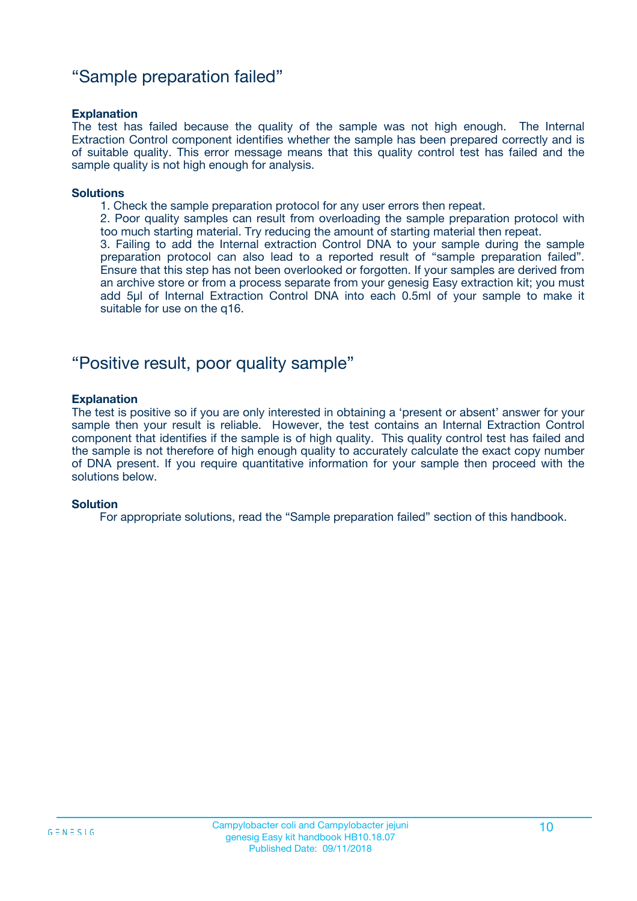### "Sample preparation failed"

#### **Explanation**

The test has failed because the quality of the sample was not high enough. The Internal Extraction Control component identifies whether the sample has been prepared correctly and is of suitable quality. This error message means that this quality control test has failed and the sample quality is not high enough for analysis.

#### **Solutions**

1. Check the sample preparation protocol for any user errors then repeat.

2. Poor quality samples can result from overloading the sample preparation protocol with too much starting material. Try reducing the amount of starting material then repeat.

3. Failing to add the Internal extraction Control DNA to your sample during the sample preparation protocol can also lead to a reported result of "sample preparation failed". Ensure that this step has not been overlooked or forgotten. If your samples are derived from an archive store or from a process separate from your genesig Easy extraction kit; you must add 5µl of Internal Extraction Control DNA into each 0.5ml of your sample to make it suitable for use on the q16.

### "Positive result, poor quality sample"

#### **Explanation**

The test is positive so if you are only interested in obtaining a 'present or absent' answer for your sample then your result is reliable. However, the test contains an Internal Extraction Control component that identifies if the sample is of high quality. This quality control test has failed and the sample is not therefore of high enough quality to accurately calculate the exact copy number of DNA present. If you require quantitative information for your sample then proceed with the solutions below.

#### **Solution**

For appropriate solutions, read the "Sample preparation failed" section of this handbook.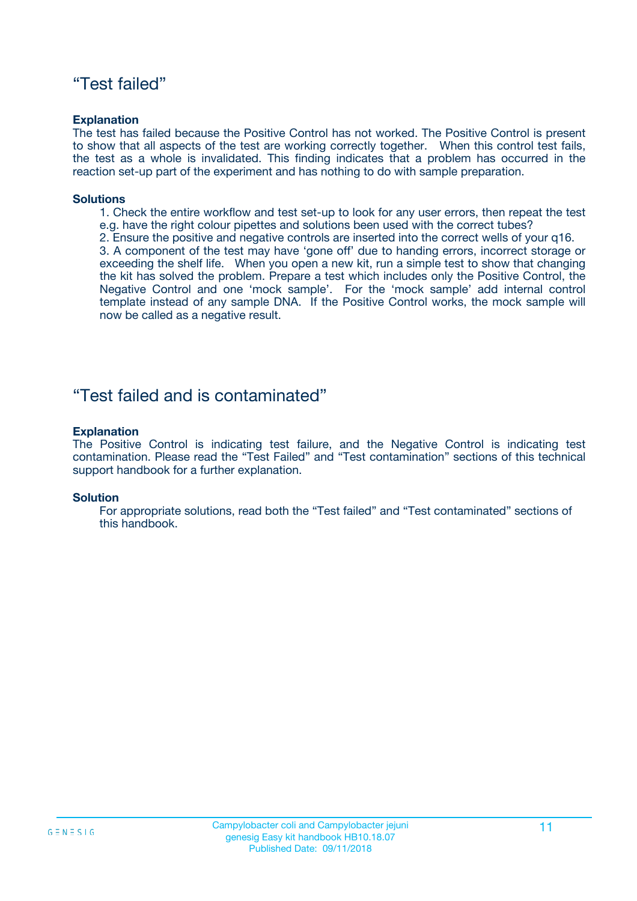### "Test failed"

#### **Explanation**

The test has failed because the Positive Control has not worked. The Positive Control is present to show that all aspects of the test are working correctly together. When this control test fails, the test as a whole is invalidated. This finding indicates that a problem has occurred in the reaction set-up part of the experiment and has nothing to do with sample preparation.

#### **Solutions**

- 1. Check the entire workflow and test set-up to look for any user errors, then repeat the test e.g. have the right colour pipettes and solutions been used with the correct tubes?
- 2. Ensure the positive and negative controls are inserted into the correct wells of your q16.

3. A component of the test may have 'gone off' due to handing errors, incorrect storage or exceeding the shelf life. When you open a new kit, run a simple test to show that changing the kit has solved the problem. Prepare a test which includes only the Positive Control, the Negative Control and one 'mock sample'. For the 'mock sample' add internal control template instead of any sample DNA. If the Positive Control works, the mock sample will now be called as a negative result.

### "Test failed and is contaminated"

#### **Explanation**

The Positive Control is indicating test failure, and the Negative Control is indicating test contamination. Please read the "Test Failed" and "Test contamination" sections of this technical support handbook for a further explanation.

#### **Solution**

For appropriate solutions, read both the "Test failed" and "Test contaminated" sections of this handbook.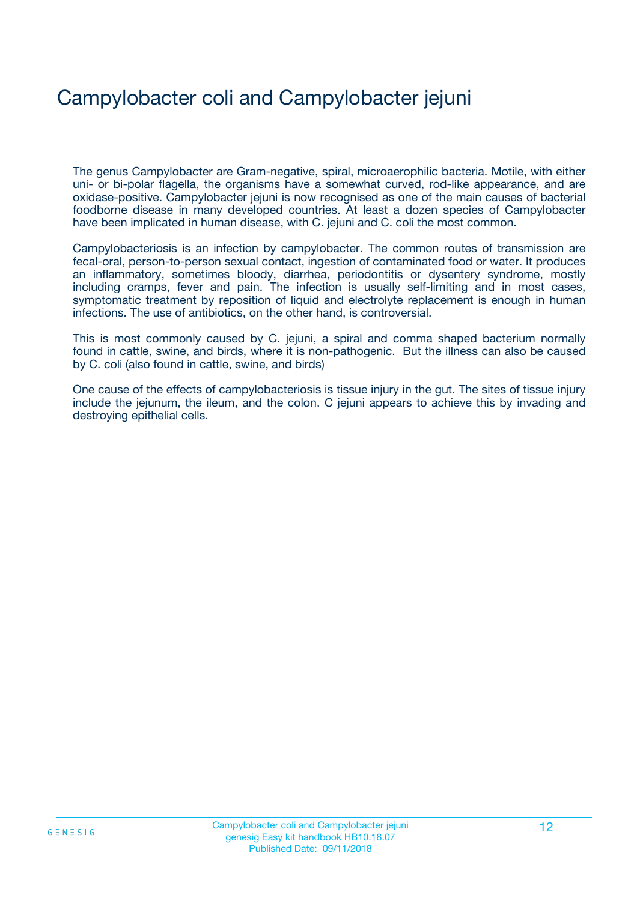# Campylobacter coli and Campylobacter jejuni

The genus Campylobacter are Gram-negative, spiral, microaerophilic bacteria. Motile, with either uni- or bi-polar flagella, the organisms have a somewhat curved, rod-like appearance, and are oxidase-positive. Campylobacter jejuni is now recognised as one of the main causes of bacterial foodborne disease in many developed countries. At least a dozen species of Campylobacter have been implicated in human disease, with C. jejuni and C. coli the most common.

Campylobacteriosis is an infection by campylobacter. The common routes of transmission are fecal-oral, person-to-person sexual contact, ingestion of contaminated food or water. It produces an inflammatory, sometimes bloody, diarrhea, periodontitis or dysentery syndrome, mostly including cramps, fever and pain. The infection is usually self-limiting and in most cases, symptomatic treatment by reposition of liquid and electrolyte replacement is enough in human infections. The use of antibiotics, on the other hand, is controversial.

This is most commonly caused by C. jejuni, a spiral and comma shaped bacterium normally found in cattle, swine, and birds, where it is non-pathogenic. But the illness can also be caused by C. coli (also found in cattle, swine, and birds)

One cause of the effects of campylobacteriosis is tissue injury in the gut. The sites of tissue injury include the jejunum, the ileum, and the colon. C jejuni appears to achieve this by invading and destroying epithelial cells.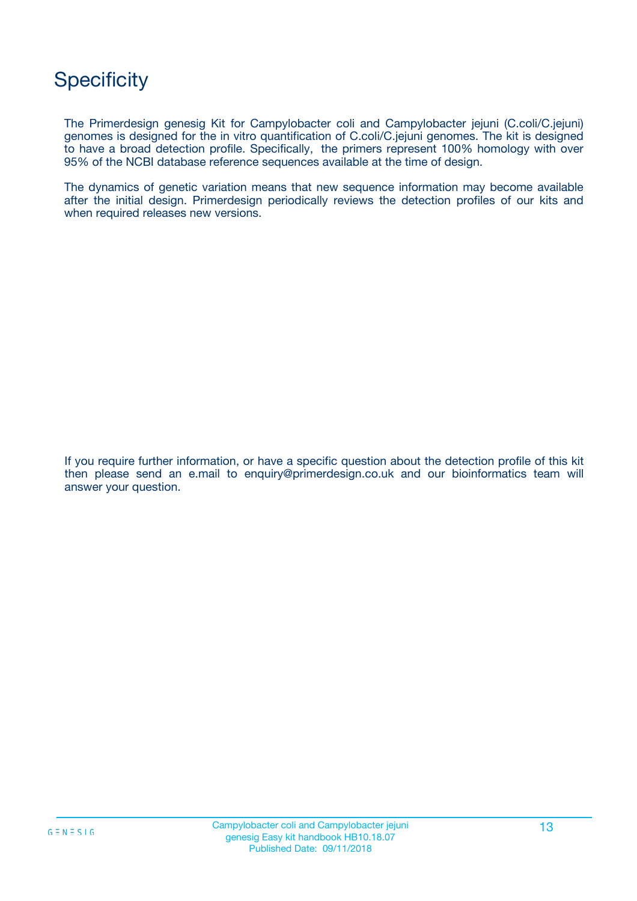## **Specificity**

The Primerdesign genesig Kit for Campylobacter coli and Campylobacter jejuni (C.coli/C.jejuni) genomes is designed for the in vitro quantification of C.coli/C.jejuni genomes. The kit is designed to have a broad detection profile. Specifically, the primers represent 100% homology with over 95% of the NCBI database reference sequences available at the time of design.

The dynamics of genetic variation means that new sequence information may become available after the initial design. Primerdesign periodically reviews the detection profiles of our kits and when required releases new versions.

If you require further information, or have a specific question about the detection profile of this kit then please send an e.mail to enquiry@primerdesign.co.uk and our bioinformatics team will answer your question.